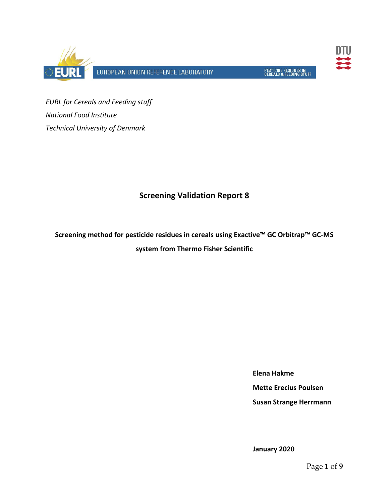



*EURL for Cereals and Feeding stuff National Food Institute Technical University of Denmark*

# **Screening Validation Report 8**

**Screening method for pesticide residues in cereals using Exactive™ GC Orbitrap™ GC‐MS system from Thermo Fisher Scientific**

**Elena Hakme**

**Mette Erecius Poulsen**

**Susan Strange Herrmann**

**January 2020**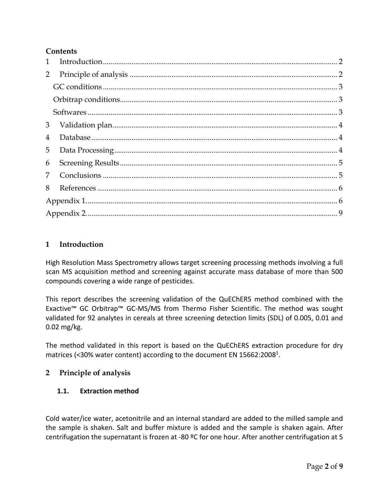### **Contents**

| $\mathbf{1}$ |  |
|--------------|--|
| 2            |  |
|              |  |
|              |  |
|              |  |
| 3            |  |
| 4            |  |
| 5            |  |
| 6            |  |
| 7            |  |
| 8            |  |
|              |  |
|              |  |

# **1 Introduction**

High Resolution Mass Spectrometry allows target screening processing methods involving a full scan MS acquisition method and screening against accurate mass database of more than 500 compounds covering a wide range of pesticides.

This report describes the screening validation of the QuEChERS method combined with the Exactive™ GC Orbitrap™ GC‐MS/MS from Thermo Fisher Scientific. The method was sought validated for 92 analytes in cereals at three screening detection limits (SDL) of 0.005, 0.01 and 0.02 mg/kg.

The method validated in this report is based on the QuEChERS extraction procedure for dry matrices (<30% water content) according to the document EN 15662:2008<sup>1</sup>.

#### **2 Principle of analysis**

#### **1.1. Extraction method**

Cold water/ice water, acetonitrile and an internal standard are added to the milled sample and the sample is shaken. Salt and buffer mixture is added and the sample is shaken again. After centrifugation the supernatant is frozen at ‐80 ºC for one hour. After another centrifugation at 5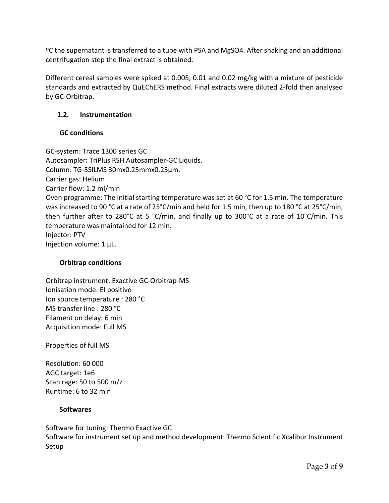ºC the supernatant is transferred to a tube with PSA and MgSO4. After shaking and an additional centrifugation step the final extract is obtained.

Different cereal samples were spiked at 0.005, 0.01 and 0.02 mg/kg with a mixture of pesticide standards and extracted by QuEChERS method. Final extracts were diluted 2‐fold then analysed by GC‐Orbitrap.

# **1.2. Instrumentation**

# **GC conditions**

GC‐system: Trace 1300 series GC Autosampler: TriPlus RSH Autosampler‐GC Liquids. Column: TG‐5SILMS 30mx0.25mmx0.25µm. Carrier gas: Helium Carrier flow: 1.2 ml/min Oven programme: The initial starting temperature was set at 60 °C for 1.5 min. The temperature was increased to 90 °C at a rate of 25°C/min and held for 1.5 min, then up to 180 °C at 25°C/min, then further after to 280°C at 5 °C/min, and finally up to 300°C at a rate of 10°C/min. This temperature was maintained for 12 min. Injector: PTV Injection volume: 1 µL.

#### **Orbitrap conditions**

Orbitrap instrument: Exactive GC‐Orbitrap‐MS Ionisation mode: EI positive Ion source temperature : 280 °C MS transfer line : 280 °C Filament on delay: 6 min Acquisition mode: Full MS

#### Properties of full MS

Resolution: 60 000 AGC target: 1e6 Scan rage: 50 to 500 m/z Runtime: 6 to 32 min

#### **Softwares**

Software for tuning: Thermo Exactive GC Software for instrument set up and method development: Thermo Scientific Xcalibur Instrument Setup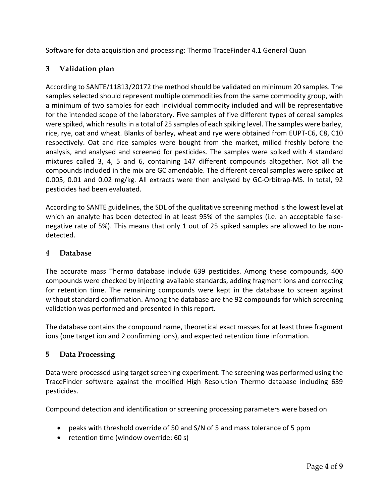Software for data acquisition and processing: Thermo TraceFinder 4.1 General Quan

# **3 Validation plan**

According to SANTE/11813/20172 the method should be validated on minimum 20 samples. The samples selected should represent multiple commodities from the same commodity group, with a minimum of two samples for each individual commodity included and will be representative for the intended scope of the laboratory. Five samples of five different types of cereal samples were spiked, which results in a total of 25 samples of each spiking level. The samples were barley, rice, rye, oat and wheat. Blanks of barley, wheat and rye were obtained from EUPT‐C6, C8, C10 respectively. Oat and rice samples were bought from the market, milled freshly before the analysis, and analysed and screened for pesticides. The samples were spiked with 4 standard mixtures called 3, 4, 5 and 6, containing 147 different compounds altogether. Not all the compounds included in the mix are GC amendable. The different cereal samples were spiked at 0.005, 0.01 and 0.02 mg/kg. All extracts were then analysed by GC‐Orbitrap‐MS. In total, 92 pesticides had been evaluated.

According to SANTE guidelines, the SDL of the qualitative screening method is the lowest level at which an analyte has been detected in at least 95% of the samples (i.e. an acceptable falsenegative rate of 5%). This means that only 1 out of 25 spiked samples are allowed to be non‐ detected.

#### **4 Database**

The accurate mass Thermo database include 639 pesticides. Among these compounds, 400 compounds were checked by injecting available standards, adding fragment ions and correcting for retention time. The remaining compounds were kept in the database to screen against without standard confirmation. Among the database are the 92 compounds for which screening validation was performed and presented in this report.

The database contains the compound name, theoretical exact masses for at least three fragment ions (one target ion and 2 confirming ions), and expected retention time information.

#### **5 Data Processing**

Data were processed using target screening experiment. The screening was performed using the TraceFinder software against the modified High Resolution Thermo database including 639 pesticides.

Compound detection and identification or screening processing parameters were based on

- peaks with threshold override of 50 and S/N of 5 and mass tolerance of 5 ppm
- retention time (window override: 60 s)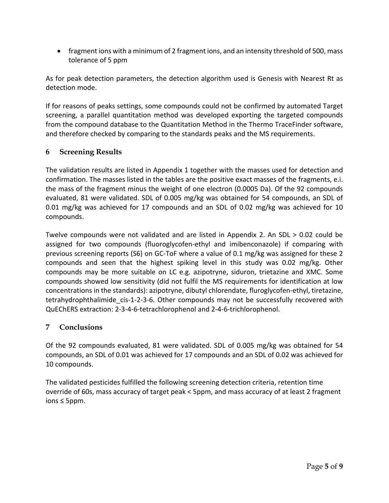• fragment ions with a minimum of 2 fragment ions, and an intensity threshold of 500, mass tolerance of 5 ppm

As for peak detection parameters, the detection algorithm used is Genesis with Nearest Rt as detection mode.

If for reasons of peaks settings, some compounds could not be confirmed by automated Target screening, a parallel quantitation method was developed exporting the targeted compounds from the compound database to the Quantitation Method in the Thermo TraceFinder software, and therefore checked by comparing to the standards peaks and the MS requirements.

# **6 Screening Results**

The validation results are listed in Appendix 1 together with the masses used for detection and confirmation. The masses listed in the tables are the positive exact masses of the fragments, e.i. the mass of the fragment minus the weight of one electron (0.0005 Da). Of the 92 compounds evaluated, 81 were validated. SDL of 0.005 mg/kg was obtained for 54 compounds, an SDL of 0.01 mg/kg was achieved for 17 compounds and an SDL of 0.02 mg/kg was achieved for 10 compounds.

Twelve compounds were not validated and are listed in Appendix 2. An SDL > 0.02 could be assigned for two compounds (fluoroglycofen‐ethyl and imibenconazole) if comparing with previous screening reports (S6) on GC‐ToF where a value of 0.1 mg/kg was assigned for these 2 compounds and seen that the highest spiking level in this study was 0.02 mg/kg. Other compounds may be more suitable on LC e.g. azipotryne, siduron, trietazine and XMC. Some compounds showed low sensitivity (did not fulfil the MS requirements for identification at low concentrations in the standards): azipotryne, dibutyl chlorendate, fluroglycofen‐ethyl, tiretazine, tetrahydrophthalimide cis-1-2-3-6. Other compounds may not be successfully recovered with QuEChERS extraction: 2‐3‐4‐6‐tetrachlorophenol and 2‐4‐6‐trichlorophenol.

#### **7 Conclusions**

Of the 92 compounds evaluated, 81 were validated. SDL of 0.005 mg/kg was obtained for 54 compounds, an SDL of 0.01 was achieved for 17 compounds and an SDL of 0.02 was achieved for 10 compounds.

The validated pesticides fulfilled the following screening detection criteria, retention time override of 60s, mass accuracy of target peak < 5ppm, and mass accuracy of at least 2 fragment ions ≤ 5ppm.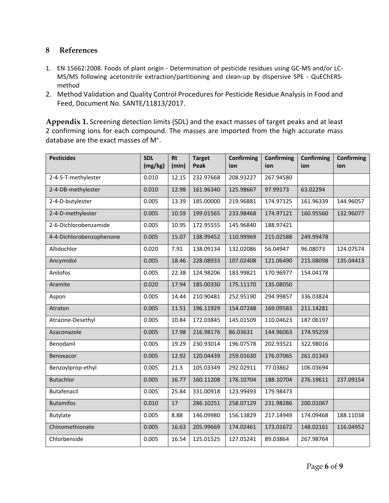### **8 References**

- 1. EN 15662:2008. Foods of plant origin ‐ Determination of pesticide residues using GC‐MS and/or LC‐ MS/MS following acetonitrile extraction/partitioning and clean-up by dispersive SPE - QuEChERSmethod
- 2. Method Validation and Quality Control Procedures for Pesticide Residue Analysis in Food and Feed, Document No. SANTE/11813/2017.

**Appendix 1.** Screening detection limits (SDL) and the exact masses of target peaks and at least 2 confirming ions for each compound. The masses are imported from the high accurate mass database are the exact masses of M<sup>+</sup>.

| <b>Pesticides</b>        | <b>SDL</b> | <b>Rt</b> | <b>Target</b> | <b>Confirming</b> | <b>Confirming</b> | <b>Confirming</b> | <b>Confirming</b> |
|--------------------------|------------|-----------|---------------|-------------------|-------------------|-------------------|-------------------|
|                          | (mg/kg)    | (min)     | Peak          | ion               | ion               | ion               | ion               |
| 2-4-5-T-methylester      | 0.010      | 12.15     | 232.97668     | 208.93227         | 267.94580         |                   |                   |
| 2-4-DB-methylester       | 0.010      | 12.98     | 161.96340     | 125.98667         | 97.99173          | 63.02294          |                   |
| 2-4-D-butylester         | 0.005      | 13.39     | 185.00000     | 219.96881         | 174.97125         | 161.96339         | 144.96057         |
| 2-4-D-methylester        | 0.005      | 10.59     | 199.01565     | 233.98468         | 174.97121         | 160.95560         | 132.96077         |
| 2-6-Dichlorobenzamide    | 0.005      | 10.95     | 172.95555     | 145.96840         | 188.97421         |                   |                   |
| 4-4-Dichlorobenzophenone | 0.005      | 15.07     | 138.99452     | 110.99969         | 215.02588         | 249.99478         |                   |
| Allidochlor              | 0.020      | 7.91      | 138.09134     | 132.02086         | 56.04947          | 96.08073          | 124.07574         |
| Ancymidol                | 0.005      | 18.46     | 228.08933     | 107.02408         | 121.06490         | 215.08098         | 135.04413         |
| Anilofos                 | 0.005      | 22.38     | 124.98206     | 183.99821         | 170.96977         | 154.04178         |                   |
| Aramite                  | 0.020      | 17.94     | 185.00330     | 175.11170         | 135.08050         |                   |                   |
| Aspon                    | 0.005      | 14.44     | 210.90481     | 252.95190         | 294.99857         | 336.03824         |                   |
| Atraton                  | 0.005      | 11.51     | 196.11929     | 154.07248         | 169.09583         | 211.14281         |                   |
| Atrazine-Desethyl        | 0.005      | 10.84     | 172.03845     | 145.01509         | 110.04623         | 187.06197         |                   |
| Azaconazole              | 0.005      | 17.98     | 216.98176     | 86.03631          | 144.96063         | 174.95259         |                   |
| Benodanil                | 0.005      | 19.29     | 230.93014     | 196.07578         | 202.93521         | 322.98016         |                   |
| Benoxacor                | 0.005      | 12.92     | 120.04439     | 259.01630         | 176.07065         | 261.01343         |                   |
| Benzoylprop-ethyl        | 0.005      | 21.3      | 105.03349     | 292.02911         | 77.03862          | 106.03694         |                   |
| <b>Butachlor</b>         | 0.005      | 16.77     | 160.11208     | 176.10704         | 188.10704         | 276.19611         | 237.09154         |
| Butafenacil              | 0.005      | 25.84     | 331.00918     | 123.99493         | 179.98473         |                   |                   |
| <b>Butamifos</b>         | 0.010      | 17        | 286.10251     | 258.07129         | 231.98286         | 200.01067         |                   |
| Butylate                 | 0.005      | 8.88      | 146.09980     | 156.13829         | 217.14949         | 174.09468         | 188.11038         |
| Chinomethionate          | 0.005      | 16.63     | 205.99669     | 174.02461         | 173.01672         | 148.02161         | 116.04952         |
| Chlorbenside             | 0.005      | 16.54     | 125.01525     | 127.01241         | 89.03864          | 267.98764         |                   |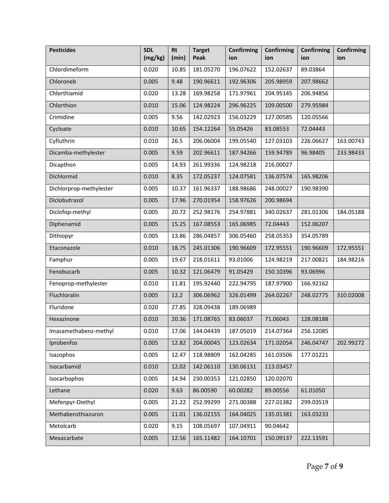| <b>Pesticides</b>       | <b>SDL</b><br>(mg/kg) | <b>Rt</b><br>(min) | <b>Target</b><br>Peak | Confirming<br>ion | <b>Confirming</b><br>ion      | <b>Confirming</b><br>ion | <b>Confirming</b><br>ion |
|-------------------------|-----------------------|--------------------|-----------------------|-------------------|-------------------------------|--------------------------|--------------------------|
| Chlordimeform           | 0.020                 | 10.85              | 181.05270             | 196.07622         | 152.02637                     | 89.03864                 |                          |
| Chloroneb               | 0.005                 | 9.48               | 190.96611             | 192.96306         | 205.98959                     | 207.98662                |                          |
| Chlorthiamid            | 0.020                 | 13.28              | 169.98258             | 171.97961         | 204.95145                     | 206.94856                |                          |
| Chlorthion              | 0.010                 | 15.06              | 124.98224             | 296.96225         | 109.00500                     | 279.95984                |                          |
| Crimidine               | 0.005                 | 9.56               | 142.02923             | 156.03229         | 127.00585                     | 120.05566                |                          |
| Cycloate                | 0.010                 | 10.65              | 154.12264             | 55.05426          | 83.08553                      | 72.04443                 |                          |
| Cyfluthrin              | 0.010                 | 26.5               | 206.06004             | 199.05540         | 127.03103                     | 226.06627                | 163.00743                |
| Dicamba-methylester     | 0.005                 | 9.59               | 202.96611             | 187.94266         | 159.94789                     | 96.98405                 | 233.98433                |
| Dicapthon               | 0.005                 | 14.93              | 261.99336             | 124.98218         | 216.00027                     |                          |                          |
| Dichlormid              | 0.010                 | 8.35               | 172.05237             | 124.07581         | 136.07574                     | 165.98206                |                          |
| Dichlorprop-methylester | 0.005                 | 10.37              | 161.96337             | 188.98686         | 248.00027                     | 190.98390                |                          |
| Diclobutrazol           | 0.005                 | 17.96              | 270.01954             | 158.97626         | 200.98694                     |                          |                          |
| Diclofop-methyl         | 0.005                 | 20.72              | 252.98176             | 254.97881         | 340.02637                     | 281.01306                | 184.05188                |
| Diphenamid              | 0.005                 | 15.25              | 167.08553             | 165.06985         | 72.04443                      | 152.06207                |                          |
| Dithiopyr               | 0.005                 | 13.86              | 286.04857             | 306.05460         | 258.05353                     | 354.05789                |                          |
| Etaconazole             | 0.010                 | 18.75              | 245.01306             | 190.96609         | 172.95551                     | 190.96609                | 172.95551                |
| Famphur                 | 0.005                 | 19.67              | 218.01611             | 93.01006          | 124.98219                     | 217.00821                | 184.98216                |
| Fenobucarb              | 0.005                 | 10.32              | 121.06479             | 91.05429          | 150.10396                     | 93.06996                 |                          |
| Fenoprop-methylester    | 0.010                 | 11.81              | 195.92440             | 222.94795         | 187.97900                     | 166.92162                |                          |
| Fluchloralin            | 0.005                 | 12.2               | 306.06962             | 326.01499         | 264.02267                     | 248.02775                | 310.02008                |
| Fluridone               | 0.020                 | 27.85              | 328.09438             | 189.06989         |                               |                          |                          |
| Hexazinone              | 0.010                 | 20.36              | 171.08765             | 83.06037          | 71.06043                      | 128.08188                |                          |
| Imazamethabenz-methyl   | 0.010                 |                    | 17.06 144.04439       |                   | 187.05019 214.07364 256.12085 |                          |                          |
| Iprobenfos              | 0.005                 | 12.82              | 204.00045             | 123.02634         | 171.02054                     | 246.04747                | 202.99272                |
| Isazophos               | 0.005                 | 12.47              | 118.98809             | 162.04285         | 161.03506                     | 177.01221                |                          |
| Isocarbamid             | 0.010                 | 12.02              | 142.06110             | 130.06131         | 113.03457                     |                          |                          |
| Isocarbophos            | 0.005                 | 14.94              | 230.00353             | 121.02850         | 120.02070                     |                          |                          |
| Lethane                 | 0.020                 | 9.63               | 86.00590              | 60.00282          | 89.00556                      | 61.01050                 |                          |
| Mefenpyr-Diethyl        | 0.005                 | 21.22              | 252.99299             | 271.00388         | 227.01382                     | 299.03519                |                          |
| Methabenzthiazuron      | 0.005                 | 11.01              | 136.02155             | 164.04025         | 135.01381                     | 163.03233                |                          |
| Metolcarb               | 0.020                 | 9.15               | 108.05697             | 107.04911         | 90.04642                      |                          |                          |
| Mexacarbate             | 0.005                 | 12.56              | 165.11482             | 164.10701         | 150.09137                     | 222.13591                |                          |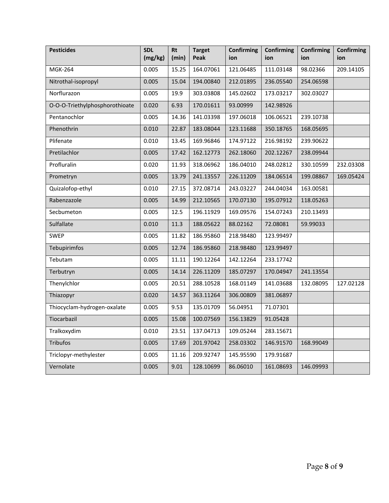| <b>Pesticides</b>              | <b>SDL</b><br>(mg/kg) | <b>Rt</b><br>(min) | <b>Target</b><br>Peak | <b>Confirming</b><br>ion | <b>Confirming</b><br>ion | <b>Confirming</b><br>ion | <b>Confirming</b><br>ion |
|--------------------------------|-----------------------|--------------------|-----------------------|--------------------------|--------------------------|--------------------------|--------------------------|
| <b>MGK-264</b>                 | 0.005                 | 15.25              | 164.07061             | 121.06485                | 111.03148                | 98.02366                 | 209.14105                |
| Nitrothal-isopropyl            | 0.005                 | 15.04              | 194.00840             | 212.01895                | 236.05540                | 254.06598                |                          |
| Norflurazon                    | 0.005                 | 19.9               | 303.03808             | 145.02602                | 173.03217                | 302.03027                |                          |
| O-O-O-Triethylphosphorothioate | 0.020                 | 6.93               | 170.01611             | 93.00999                 | 142.98926                |                          |                          |
| Pentanochlor                   | 0.005                 | 14.36              | 141.03398             | 197.06018                | 106.06521                | 239.10738                |                          |
| Phenothrin                     | 0.010                 | 22.87              | 183.08044             | 123.11688                | 350.18765                | 168.05695                |                          |
| Plifenate                      | 0.010                 | 13.45              | 169.96846             | 174.97122                | 216.98192                | 239.90622                |                          |
| Pretilachlor                   | 0.005                 | 17.42              | 162.12773             | 262.18060                | 202.12267                | 238.09944                |                          |
| Profluralin                    | 0.020                 | 11.93              | 318.06962             | 186.04010                | 248.02812                | 330.10599                | 232.03308                |
| Prometryn                      | 0.005                 | 13.79              | 241.13557             | 226.11209                | 184.06514                | 199.08867                | 169.05424                |
| Quizalofop-ethyl               | 0.010                 | 27.15              | 372.08714             | 243.03227                | 244.04034                | 163.00581                |                          |
| Rabenzazole                    | 0.005                 | 14.99              | 212.10565             | 170.07130                | 195.07912                | 118.05263                |                          |
| Secbumeton                     | 0.005                 | 12.5               | 196.11929             | 169.09576                | 154.07243                | 210.13493                |                          |
| Sulfallate                     | 0.010                 | 11.3               | 188.05622             | 88.02162                 | 72.08081                 | 59.99033                 |                          |
| <b>SWEP</b>                    | 0.005                 | 11.82              | 186.95860             | 218.98480                | 123.99497                |                          |                          |
| Tebupirimfos                   | 0.005                 | 12.74              | 186.95860             | 218.98480                | 123.99497                |                          |                          |
| Tebutam                        | 0.005                 | 11.11              | 190.12264             | 142.12264                | 233.17742                |                          |                          |
| Terbutryn                      | 0.005                 | 14.14              | 226.11209             | 185.07297                | 170.04947                | 241.13554                |                          |
| Thenylchlor                    | 0.005                 | 20.51              | 288.10528             | 168.01149                | 141.03688                | 132.08095                | 127.02128                |
| Thiazopyr                      | 0.020                 | 14.57              | 363.11264             | 306.00809                | 381.06897                |                          |                          |
| Thiocyclam-hydrogen-oxalate    | 0.005                 | 9.53               | 135.01709             | 56.04951                 | 71.07301                 |                          |                          |
| Tiocarbazil                    | 0.005                 | 15.08              | 100.07569             | 156.13829                | 91.05428                 |                          |                          |
| Tralkoxydim                    | 0.010                 | 23.51              | 137.04713             | 109.05244                | 283.15671                |                          |                          |
| Tribufos                       | 0.005                 | 17.69              | 201.97042             | 258.03302                | 146.91570                | 168.99049                |                          |
| Triclopyr-methylester          | 0.005                 | 11.16              | 209.92747             | 145.95590                | 179.91687                |                          |                          |
| Vernolate                      | 0.005                 | 9.01               | 128.10699             | 86.06010                 | 161.08693                | 146.09993                |                          |